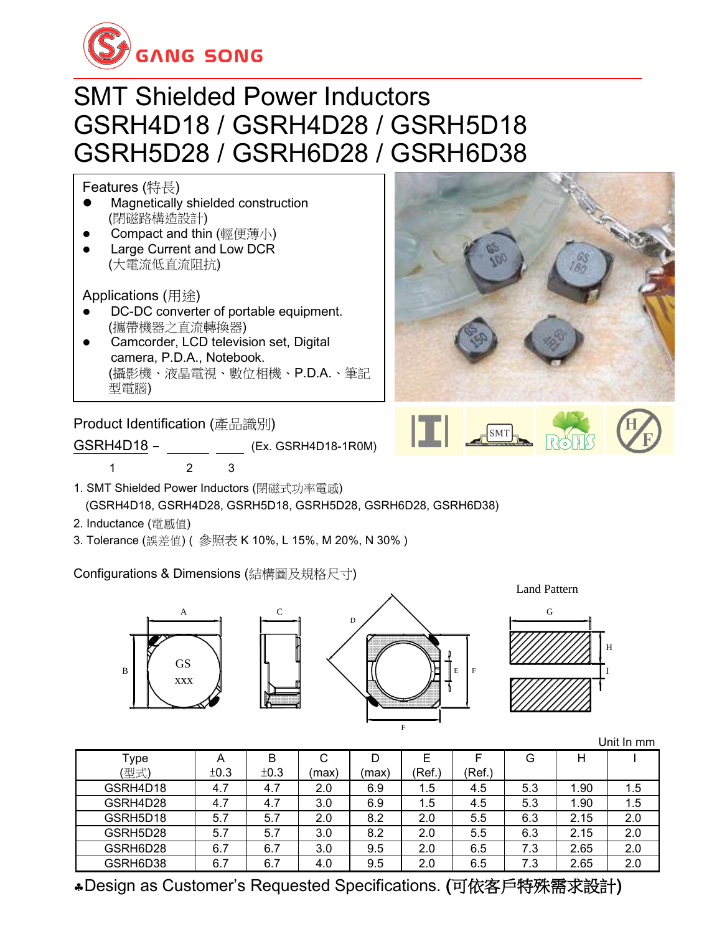

# SMT Shielded Power Inductors GSRH4D18 / GSRH4D28 / GSRH5D18 GSRH5D28 / GSRH6D28 / GSRH6D38

Features (特長)

- ⚫ Magnetically shielded construction (閉磁路構造設計)
- ⚫ Compact and thin (輕便薄小)
- ⚫ Large Current and Low DCR (大電流低直流阻抗)

Applications (用途)

- ⚫ DC-DC converter of portable equipment. (攜帶機器之直流轉換器)
- ⚫ Camcorder, LCD television set, Digital camera, P.D.A., Notebook. (攝影機、液晶電視、數位相機、P.D.A.、筆記 型電腦) ⚫ Small size communication equipment.

Product Identification (產品識別)

GSRH4D18 - (Ex. GSRH4D18-1R0M)

1 2 3



- 1. SMT Shielded Power Inductors (閉磁式功率電感) (GSRH4D18, GSRH4D28, GSRH5D18, GSRH5D28, GSRH6D28, GSRH6D38)
- 2. Inductance (電感值)
- 3. Tolerance (誤差值) ( 參照表 K 10%, L 15%, M 20%, N 30% )

Configurations & Dimensions (結構圖及規格尺寸)



Unit In mm

| Type     | A    | B    | С     |       |        |        | G   | н    |     |
|----------|------|------|-------|-------|--------|--------|-----|------|-----|
| (型式)     | ±0.3 | ±0.3 | (max) | (max) | (Ref.) | (Ref.) |     |      |     |
| GSRH4D18 | 4.7  | 4.7  | 2.0   | 6.9   | 1.5    | 4.5    | 5.3 | 1.90 | 1.5 |
| GSRH4D28 | 4.7  | 4.7  | 3.0   | 6.9   | 1.5    | 4.5    | 5.3 | 1.90 | 1.5 |
| GSRH5D18 | 5.7  | 5.7  | 2.0   | 8.2   | 2.0    | 5.5    | 6.3 | 2.15 | 2.0 |
| GSRH5D28 | 5.7  | 5.7  | 3.0   | 8.2   | 2.0    | 5.5    | 6.3 | 2.15 | 2.0 |
| GSRH6D28 | 6.7  | 6.7  | 3.0   | 9.5   | 2.0    | 6.5    | 7.3 | 2.65 | 2.0 |
| GSRH6D38 | 6.7  | 6.7  | 4.0   | 9.5   | 2.0    | 6.5    | 7.3 | 2.65 | 2.0 |

Design as Customer's Requested Specifications. (可依客戶特殊需求設計)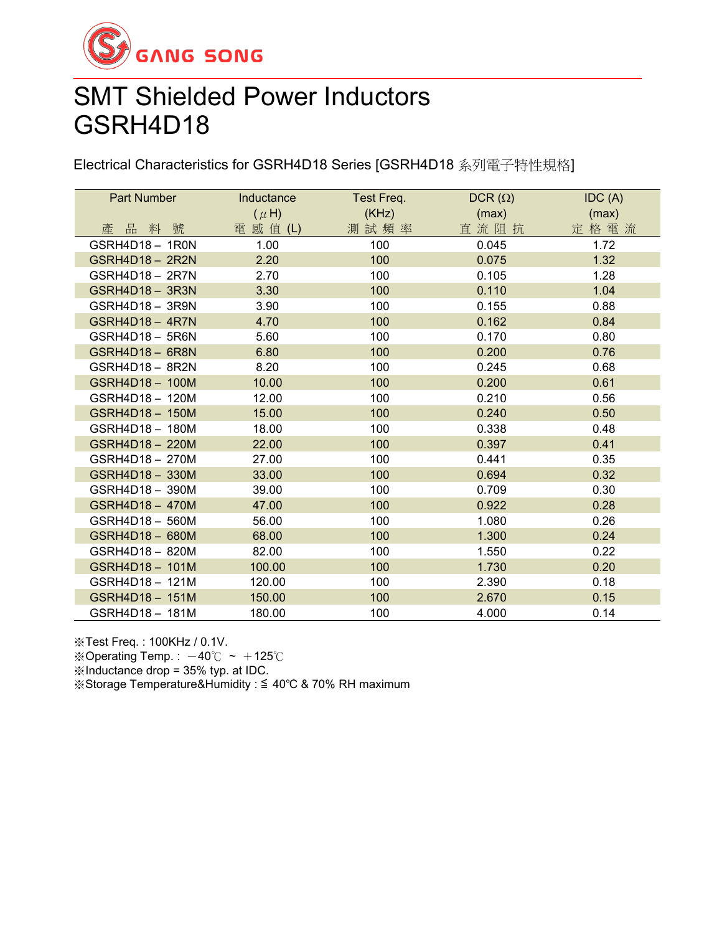

# SMT Shielded Power Inductors GSRH4D18

Electrical Characteristics for GSRH4D18 Series [GSRH4D18 系列電子特性規格]

| <b>Part Number</b>     | Inductance | Test Freq. | $DCR(\Omega)$ | IDC(A) |
|------------------------|------------|------------|---------------|--------|
|                        | $(\mu H)$  | (KHz)      | (max)         | (max)  |
| 產品料號                   | 電 感 值 (L)  | 測試頻率       | 直流阻抗          | 定格電流   |
| GSRH4D18 - 1R0N        | 1.00       | 100        | 0.045         | 1.72   |
| GSRH4D18 - 2R2N        | 2.20       | 100        | 0.075         | 1.32   |
| GSRH4D18 - 2R7N        | 2.70       | 100        | 0.105         | 1.28   |
| GSRH4D18 - 3R3N        | 3.30       | 100        | 0.110         | 1.04   |
| $GSRH4D18 - SR9N$      | 3.90       | 100        | 0.155         | 0.88   |
| <b>GSRH4D18 - 4R7N</b> | 4.70       | 100        | 0.162         | 0.84   |
| GSRH4D18 - 5R6N        | 5.60       | 100        | 0.170         | 0.80   |
| GSRH4D18 - 6R8N        | 6.80       | 100        | 0.200         | 0.76   |
| GSRH4D18 - 8R2N        | 8.20       | 100        | 0.245         | 0.68   |
| GSRH4D18 - 100M        | 10.00      | 100        | 0.200         | 0.61   |
| GSRH4D18 - 120M        | 12.00      | 100        | 0.210         | 0.56   |
| GSRH4D18 - 150M        | 15.00      | 100        | 0.240         | 0.50   |
| GSRH4D18 - 180M        | 18.00      | 100        | 0.338         | 0.48   |
| GSRH4D18 - 220M        | 22.00      | 100        | 0.397         | 0.41   |
| GSRH4D18 - 270M        | 27.00      | 100        | 0.441         | 0.35   |
| GSRH4D18 - 330M        | 33.00      | 100        | 0.694         | 0.32   |
| GSRH4D18 - 390M        | 39.00      | 100        | 0.709         | 0.30   |
| GSRH4D18 - 470M        | 47.00      | 100        | 0.922         | 0.28   |
| GSRH4D18 - 560M        | 56.00      | 100        | 1.080         | 0.26   |
| GSRH4D18 - 680M        | 68.00      | 100        | 1.300         | 0.24   |
| GSRH4D18 - 820M        | 82.00      | 100        | 1.550         | 0.22   |
| GSRH4D18 - 101M        | 100.00     | 100        | 1.730         | 0.20   |
| GSRH4D18 - 121M        | 120.00     | 100        | 2.390         | 0.18   |
| GSRH4D18 - 151M        | 150.00     | 100        | 2.670         | 0.15   |
| GSRH4D18 - 181M        | 180.00     | 100        | 4.000         | 0.14   |

※Test Freq. : 100KHz / 0.1V.

※Operating Temp.:  $-40^{\circ}$ C ~  $+125^{\circ}$ C

※Inductance drop = 35% typ. at IDC.

※Storage Temperature&Humidity : ≦ 40℃ & 70% RH maximum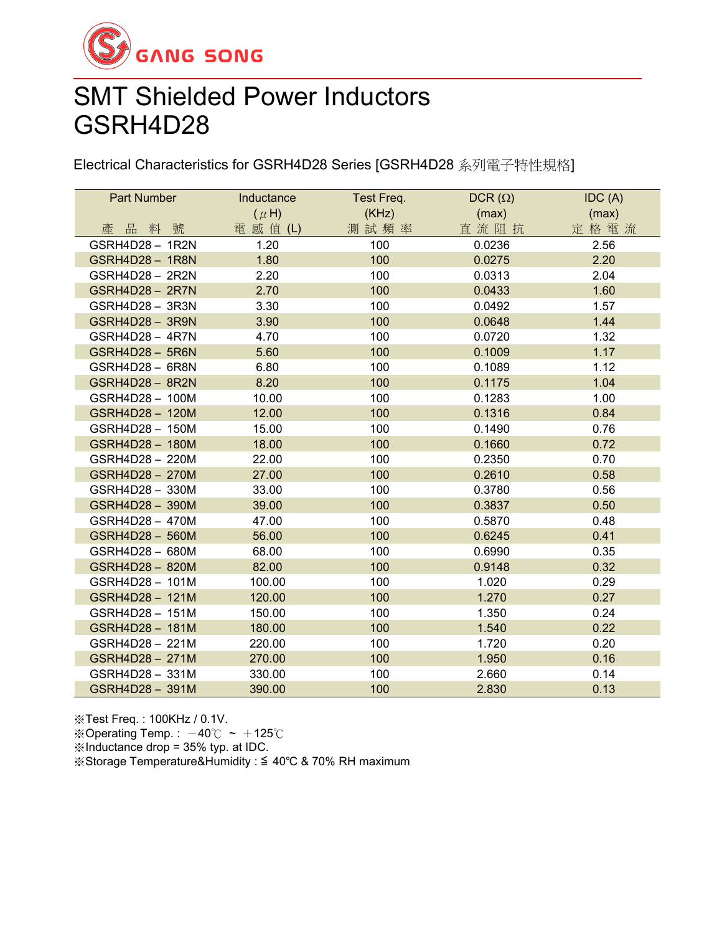

## SMT Shielded Power Inductors GSRH4D28

Electrical Characteristics for GSRH4D28 Series [GSRH4D28 系列電子特性規格]

| <b>Part Number</b>     | Inductance | Test Freq. | $DCR(\Omega)$ | IDC(A) |
|------------------------|------------|------------|---------------|--------|
|                        | $(\mu H)$  | (KHz)      | (max)         | (max)  |
| 產品料號                   | 電 感 值 (L)  | 測試頻率       | 直流阻抗          | 定格電流   |
| GSRH4D28 - 1R2N        | 1.20       | 100        | 0.0236        | 2.56   |
| <b>GSRH4D28 - 1R8N</b> | 1.80       | 100        | 0.0275        | 2.20   |
| GSRH4D28 - 2R2N        | 2.20       | 100        | 0.0313        | 2.04   |
| <b>GSRH4D28 - 2R7N</b> | 2.70       | 100        | 0.0433        | 1.60   |
| GSRH4D28 - 3R3N        | 3.30       | 100        | 0.0492        | 1.57   |
| <b>GSRH4D28 - 3R9N</b> | 3.90       | 100        | 0.0648        | 1.44   |
| GSRH4D28 - 4R7N        | 4.70       | 100        | 0.0720        | 1.32   |
| <b>GSRH4D28 - 5R6N</b> | 5.60       | 100        | 0.1009        | 1.17   |
| GSRH4D28 - 6R8N        | 6.80       | 100        | 0.1089        | 1.12   |
| <b>GSRH4D28 - 8R2N</b> | 8.20       | 100        | 0.1175        | 1.04   |
| GSRH4D28 - 100M        | 10.00      | 100        | 0.1283        | 1.00   |
| GSRH4D28 - 120M        | 12.00      | 100        | 0.1316        | 0.84   |
| GSRH4D28 - 150M        | 15.00      | 100        | 0.1490        | 0.76   |
| GSRH4D28 - 180M        | 18.00      | 100        | 0.1660        | 0.72   |
| GSRH4D28 - 220M        | 22.00      | 100        | 0.2350        | 0.70   |
| GSRH4D28-270M          | 27.00      | 100        | 0.2610        | 0.58   |
| GSRH4D28 - 330M        | 33.00      | 100        | 0.3780        | 0.56   |
| GSRH4D28 - 390M        | 39.00      | 100        | 0.3837        | 0.50   |
| GSRH4D28 - 470M        | 47.00      | 100        | 0.5870        | 0.48   |
| GSRH4D28 - 560M        | 56.00      | 100        | 0.6245        | 0.41   |
| GSRH4D28 - 680M        | 68.00      | 100        | 0.6990        | 0.35   |
| GSRH4D28 - 820M        | 82.00      | 100        | 0.9148        | 0.32   |
| GSRH4D28 - 101M        | 100.00     | 100        | 1.020         | 0.29   |
| GSRH4D28-121M          | 120.00     | 100        | 1.270         | 0.27   |
| GSRH4D28 - 151M        | 150.00     | 100        | 1.350         | 0.24   |
| GSRH4D28 - 181M        | 180.00     | 100        | 1.540         | 0.22   |
| GSRH4D28 - 221M        | 220.00     | 100        | 1.720         | 0.20   |
| GSRH4D28 - 271M        | 270.00     | 100        | 1.950         | 0.16   |
| GSRH4D28 - 331M        | 330.00     | 100        | 2.660         | 0.14   |
| GSRH4D28 - 391M        | 390.00     | 100        | 2.830         | 0.13   |

※Test Freq. : 100KHz / 0.1V. ※Operating Temp. :  $-40^{\circ}$ C ~  $+125^{\circ}$ C ※Inductance drop = 35% typ. at IDC. ※Storage Temperature&Humidity : ≦ 40℃ & 70% RH maximum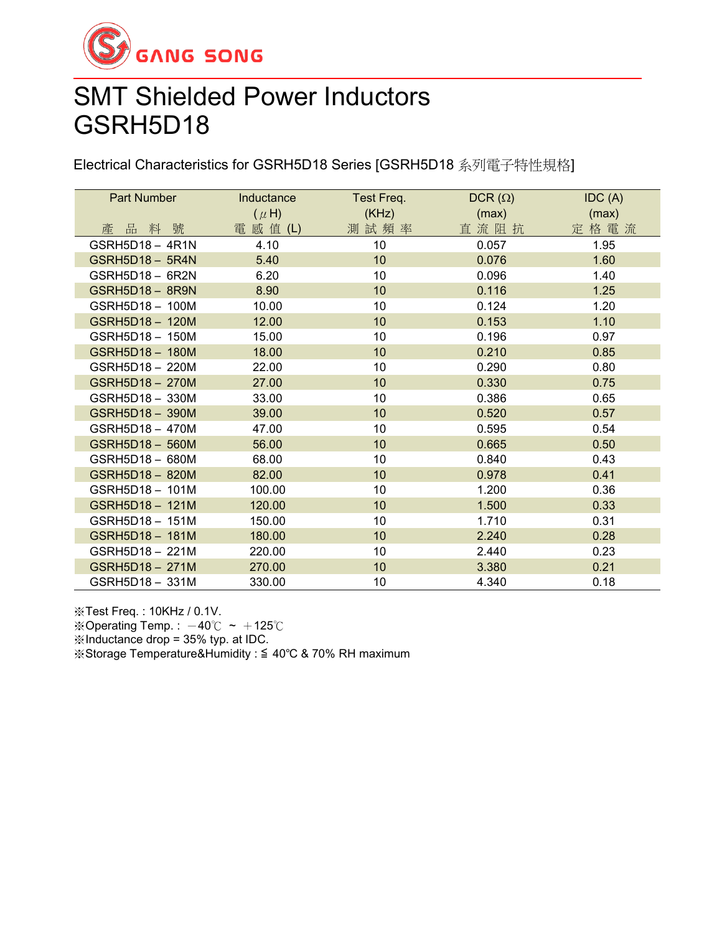

# SMT Shielded Power Inductors GSRH5D18

Electrical Characteristics for GSRH5D18 Series [GSRH5D18 系列電子特性規格]

| Part Number     | Inductance | Test Freq.      | $DCR(\Omega)$ | IDC(A) |
|-----------------|------------|-----------------|---------------|--------|
|                 | $(\mu H)$  | (KHz)           | (max)         | (max)  |
| 產品料號            | 電 感 值 (L)  | 測試頻率            | 直流阻抗          | 定格電流   |
| GSRH5D18 - 4R1N | 4.10       | 10              | 0.057         | 1.95   |
| GSRH5D18 - 5R4N | 5.40       | 10              | 0.076         | 1.60   |
| GSRH5D18 - 6R2N | 6.20       | 10              | 0.096         | 1.40   |
| GSRH5D18 - 8R9N | 8.90       | 10              | 0.116         | 1.25   |
| GSRH5D18 - 100M | 10.00      | 10              | 0.124         | 1.20   |
| GSRH5D18 - 120M | 12.00      | 10              | 0.153         | 1.10   |
| GSRH5D18 - 150M | 15.00      | 10              | 0.196         | 0.97   |
| GSRH5D18 - 180M | 18.00      | 10              | 0.210         | 0.85   |
| GSRH5D18 - 220M | 22.00      | 10              | 0.290         | 0.80   |
| GSRH5D18 - 270M | 27.00      | 10              | 0.330         | 0.75   |
| GSRH5D18 - 330M | 33.00      | 10              | 0.386         | 0.65   |
| GSRH5D18 - 390M | 39.00      | 10              | 0.520         | 0.57   |
| GSRH5D18 - 470M | 47.00      | 10              | 0.595         | 0.54   |
| GSRH5D18 - 560M | 56.00      | 10              | 0.665         | 0.50   |
| GSRH5D18 - 680M | 68.00      | 10              | 0.840         | 0.43   |
| GSRH5D18 - 820M | 82.00      | 10              | 0.978         | 0.41   |
| GSRH5D18 - 101M | 100.00     | 10              | 1.200         | 0.36   |
| GSRH5D18 - 121M | 120.00     | 10              | 1.500         | 0.33   |
| GSRH5D18 - 151M | 150.00     | 10              | 1.710         | 0.31   |
| GSRH5D18 - 181M | 180.00     | 10              | 2.240         | 0.28   |
| GSRH5D18 - 221M | 220.00     | 10              | 2.440         | 0.23   |
| GSRH5D18 - 271M | 270.00     | 10 <sup>°</sup> | 3.380         | 0.21   |
| GSRH5D18 - 331M | 330.00     | 10              | 4.340         | 0.18   |

※Test Freq. : 10KHz / 0.1V.

※Operating Temp.:  $-40^{\circ}$ C ~  $+125^{\circ}$ C

※Inductance drop = 35% typ. at IDC.

※Storage Temperature&Humidity : ≦ 40℃ & 70% RH maximum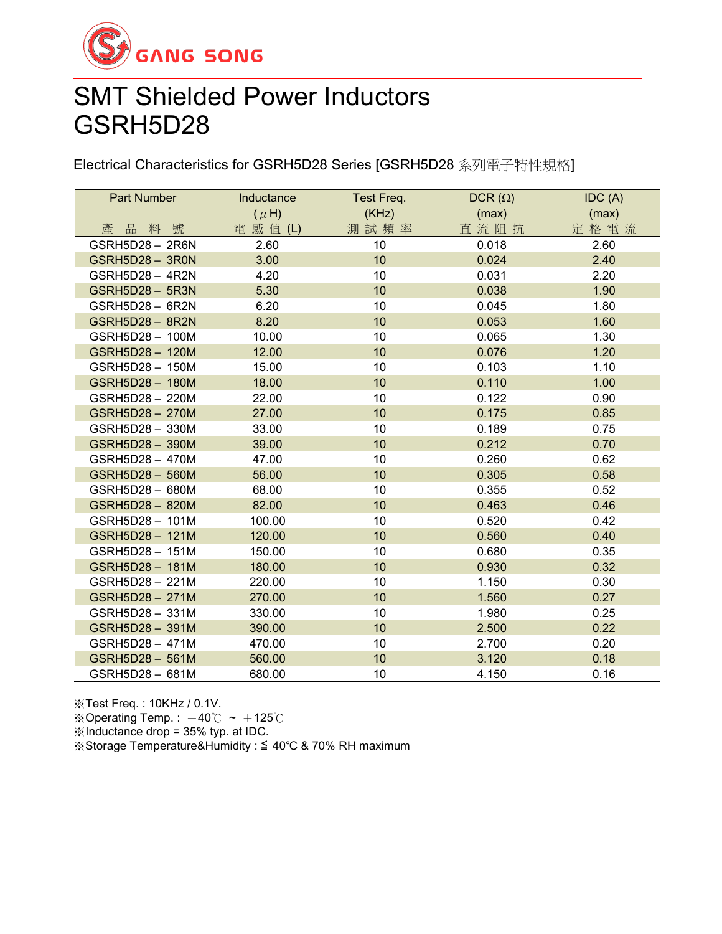

## SMT Shielded Power Inductors GSRH5D28

Electrical Characteristics for GSRH5D28 Series [GSRH5D28 系列電子特性規格]

| <b>Part Number</b>     | Inductance | Test Freq. | DCR $(\Omega)$ | IDC(A) |
|------------------------|------------|------------|----------------|--------|
|                        | $(\mu H)$  | (KHz)      | (max)          | (max)  |
| 產品料號                   | 電 感 值 (L)  | 測試頻率       | 直流阻抗           | 定格電流   |
| GSRH5D28 - 2R6N        | 2.60       | 10         | 0.018          | 2.60   |
| <b>GSRH5D28 - 3R0N</b> | 3.00       | 10         | 0.024          | 2.40   |
| GSRH5D28 - 4R2N        | 4.20       | 10         | 0.031          | 2.20   |
| GSRH5D28 - 5R3N        | 5.30       | 10         | 0.038          | 1.90   |
| GSRH5D28 - 6R2N        | 6.20       | 10         | 0.045          | 1.80   |
| <b>GSRH5D28 - 8R2N</b> | 8.20       | 10         | 0.053          | 1.60   |
| GSRH5D28 - 100M        | 10.00      | 10         | 0.065          | 1.30   |
| GSRH5D28 - 120M        | 12.00      | 10         | 0.076          | 1.20   |
| GSRH5D28 - 150M        | 15.00      | 10         | 0.103          | 1.10   |
| GSRH5D28 - 180M        | 18.00      | 10         | 0.110          | 1.00   |
| GSRH5D28 - 220M        | 22.00      | 10         | 0.122          | 0.90   |
| GSRH5D28 - 270M        | 27.00      | 10         | 0.175          | 0.85   |
| GSRH5D28 - 330M        | 33.00      | 10         | 0.189          | 0.75   |
| GSRH5D28 - 390M        | 39.00      | 10         | 0.212          | 0.70   |
| GSRH5D28 - 470M        | 47.00      | 10         | 0.260          | 0.62   |
| GSRH5D28 - 560M        | 56.00      | 10         | 0.305          | 0.58   |
| GSRH5D28 - 680M        | 68.00      | 10         | 0.355          | 0.52   |
| GSRH5D28 - 820M        | 82.00      | 10         | 0.463          | 0.46   |
| GSRH5D28 - 101M        | 100.00     | 10         | 0.520          | 0.42   |
| GSRH5D28 - 121M        | 120.00     | 10         | 0.560          | 0.40   |
| GSRH5D28 - 151M        | 150.00     | 10         | 0.680          | 0.35   |
| GSRH5D28-181M          | 180.00     | 10         | 0.930          | 0.32   |
| GSRH5D28 - 221M        | 220.00     | 10         | 1.150          | 0.30   |
| GSRH5D28 - 271M        | 270.00     | 10         | 1.560          | 0.27   |
| GSRH5D28 - 331M        | 330.00     | 10         | 1.980          | 0.25   |
| GSRH5D28 - 391M        | 390.00     | 10         | 2.500          | 0.22   |
| GSRH5D28 - 471M        | 470.00     | 10         | 2.700          | 0.20   |
| GSRH5D28 - 561M        | 560.00     | 10         | 3.120          | 0.18   |
| GSRH5D28 - 681M        | 680.00     | 10         | 4.150          | 0.16   |

※Test Freq. : 10KHz / 0.1V. ※Operating Temp.:  $-40^{\circ}$ C ~  $+125^{\circ}$ C ※Inductance drop = 35% typ. at IDC. ※Storage Temperature&Humidity : ≦ 40℃ & 70% RH maximum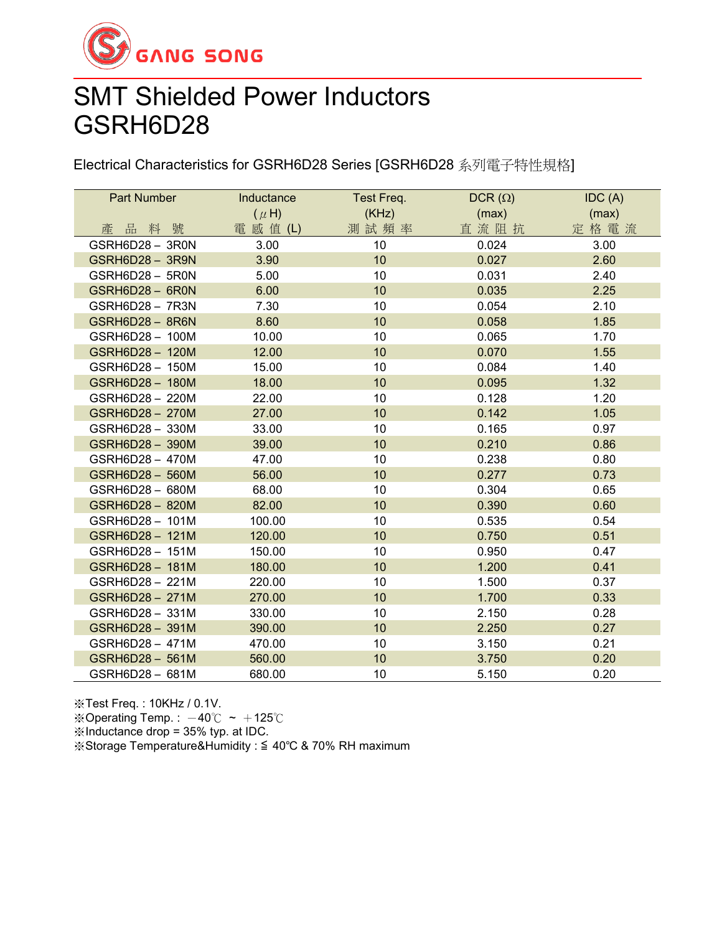

## SMT Shielded Power Inductors GSRH6D28

Electrical Characteristics for GSRH6D28 Series [GSRH6D28 系列電子特性規格]

| <b>Part Number</b> | Inductance | <b>Test Freq.</b> | DCR $(\Omega)$ | IDC(A) |
|--------------------|------------|-------------------|----------------|--------|
|                    | $(\mu H)$  | (KHz)             | (max)          | (max)  |
| 產品料號               | 電 感 值 (L)  | 測試頻率              | 直流阻抗           | 定格電流   |
| GSRH6D28 - 3R0N    | 3.00       | 10 <sup>°</sup>   | 0.024          | 3.00   |
| GSRH6D28-3R9N      | 3.90       | 10                | 0.027          | 2.60   |
| GSRH6D28 - 5R0N    | 5.00       | 10                | 0.031          | 2.40   |
| GSRH6D28 - 6R0N    | 6.00       | 10                | 0.035          | 2.25   |
| GSRH6D28 - 7R3N    | 7.30       | 10                | 0.054          | 2.10   |
| GSRH6D28 - 8R6N    | 8.60       | 10                | 0.058          | 1.85   |
| GSRH6D28 - 100M    | 10.00      | 10                | 0.065          | 1.70   |
| GSRH6D28 - 120M    | 12.00      | 10                | 0.070          | 1.55   |
| GSRH6D28 - 150M    | 15.00      | 10                | 0.084          | 1.40   |
| GSRH6D28 - 180M    | 18.00      | 10                | 0.095          | 1.32   |
| GSRH6D28 - 220M    | 22.00      | 10                | 0.128          | 1.20   |
| GSRH6D28 - 270M    | 27.00      | 10                | 0.142          | 1.05   |
| GSRH6D28 - 330M    | 33.00      | 10                | 0.165          | 0.97   |
| GSRH6D28 - 390M    | 39.00      | 10                | 0.210          | 0.86   |
| GSRH6D28 - 470M    | 47.00      | 10                | 0.238          | 0.80   |
| GSRH6D28 - 560M    | 56.00      | 10                | 0.277          | 0.73   |
| GSRH6D28 - 680M    | 68.00      | 10                | 0.304          | 0.65   |
| GSRH6D28 - 820M    | 82.00      | 10                | 0.390          | 0.60   |
| GSRH6D28 - 101M    | 100.00     | 10                | 0.535          | 0.54   |
| GSRH6D28 - 121M    | 120.00     | 10                | 0.750          | 0.51   |
| GSRH6D28 - 151M    | 150.00     | 10                | 0.950          | 0.47   |
| GSRH6D28-181M      | 180.00     | 10                | 1.200          | 0.41   |
| GSRH6D28 - 221M    | 220.00     | 10                | 1.500          | 0.37   |
| GSRH6D28 - 271M    | 270.00     | 10                | 1.700          | 0.33   |
| GSRH6D28 - 331M    | 330.00     | 10                | 2.150          | 0.28   |
| GSRH6D28 - 391M    | 390.00     | 10                | 2.250          | 0.27   |
| GSRH6D28 - 471M    | 470.00     | 10                | 3.150          | 0.21   |
| GSRH6D28 - 561M    | 560.00     | 10                | 3.750          | 0.20   |
| GSRH6D28 - 681M    | 680.00     | 10                | 5.150          | 0.20   |

※Test Freq. : 10KHz / 0.1V. ※Operating Temp.:  $-40^{\circ}$ C ~  $+125^{\circ}$ C ※Inductance drop = 35% typ. at IDC. ※Storage Temperature&Humidity : ≦ 40℃ & 70% RH maximum